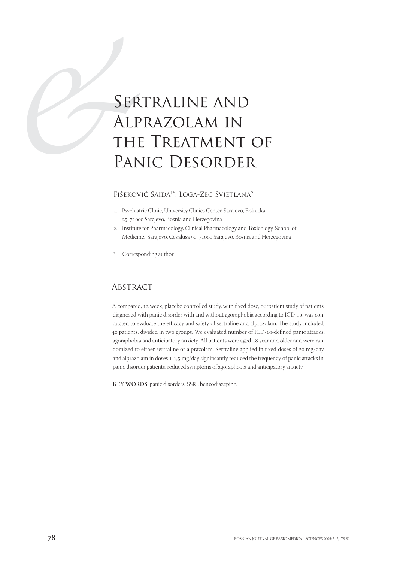# **SER**<br>ALF<br>THI<br>PAN Sertraline and Alprazolam in THE TREATMENT OF Panic Desorder

#### FIŠEKOVIĆ SAIDA<sup>1\*</sup>, LOGA-ZEC SVIETLANA<sup>2</sup>

- . Psychiatric Clinic, University Clinics Center, Sarajevo, Bolnicka 25, 71000 Sarajevo, Bosnia and Herzegovina
- . Institute for Pharmacology, Clinical Pharmacology and Toxicology, School of Medicine, Sarajevo, Cekalusa 90, 71000 Sarajevo, Bosnia and Herzegovina
- Corresponding author

#### **ABSTRACT**

A compared, 12 week, placebo controlled study, with fixed dose, outpatient study of patients diagnosed with panic disorder with and without agoraphobia according to ICD-10, was conducted to evaluate the efficacy and safety of sertraline and alprazolam. The study included 40 patients, divided in two groups. We evaluated number of ICD-10-defined panic attacks, agoraphobia and anticipatory anxiety. All patients were aged 18 year and older and were randomized to either sertraline or alprazolam. Sertraline applied in fixed doses of 20 mg/day and alprazolam in doses 1-1,5 mg/day significantly reduced the frequency of panic attacks in panic disorder patients, reduced symptoms of agoraphobia and anticipatory anxiety.

**KEY WORDS**: panic disorders, SSRI, benzodiazepine.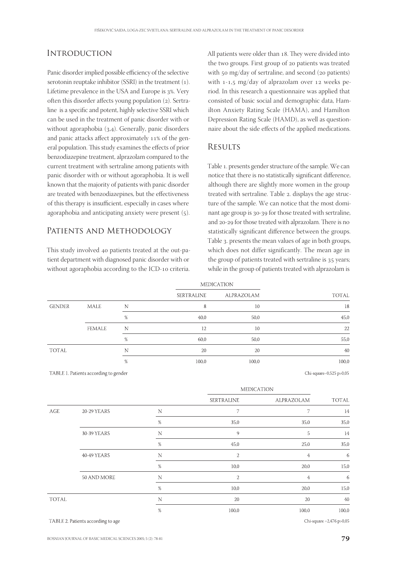## **INTRODUCTION**

Panic disorder implied possible efficiency of the selective serotonin reuptake inhibitor (SSRI) in the treatment (1). Lifetime prevalence in the USA and Europe is 3%. Very often this disorder affects young population  $(2)$ . Sertraline is a specific and potent, highly selective SSRI which can be used in the treatment of panic disorder with or without agoraphobia  $(3,4)$ . Generally, panic disorders and panic attacks affect approximately 11% of the general population. This study examines the effects of prior benzodiazepine treatment, alprazolam compared to the current treatment with sertraline among patients with panic disorder with or without agoraphobia. It is well known that the majority of patients with panic disorder are treated with benzodiazepines, but the effectiveness of this therapy is insufficient, especially in cases where agoraphobia and anticipating anxiety were present  $(5)$ .

## Patients and Methodology

This study involved 40 patients treated at the out-patient department with diagnosed panic disorder with or without agoraphobia according to the ICD-10 criteria. All patients were older than 18. They were divided into the two groups. First group of 20 patients was treated with  $\frac{1}{20}$  mg/day of sertraline, and second (20 patients) with  $1-1, 5$  mg/day of alprazolam over  $12$  weeks period. In this research a questionnaire was applied that consisted of basic social and demographic data, Hamilton Anxiety Rating Scale (HAMA), and Hamilton Depression Rating Scale (HAMD), as well as questionnaire about the side effects of the applied medications.

# **RESULTS**

Table 1. presents gender structure of the sample. We can notice that there is no statistically significant difference, although there are slightly more women in the group treated with sertraline. Table 2. displays the age structure of the sample. We can notice that the most dominant age group is 30-39 for those treated with sertraline, and 20-29 for those treated with alprazolam. There is no statistically significant difference between the groups. Table 3. presents the mean values of age in both groups, which does not differ significantly. The mean age in the group of patients treated with sertraline is 35 years; while in the group of patients treated with alprazolam is

|               |               |   |                   | <b>MEDICATION</b> |              |  |
|---------------|---------------|---|-------------------|-------------------|--------------|--|
|               |               |   | <b>SERTRALINE</b> | ALPRAZOLAM        | <b>TOTAL</b> |  |
| <b>GENDER</b> | MALE          | N | 8                 | 10                | 18           |  |
|               |               | % | 40,0              | 50,0              | 45,0         |  |
|               | <b>FEMALE</b> | N | 12                | 10                | 22           |  |
|               |               | % | 60,0              | 50,0              | 55,0         |  |
| TOTAL         |               | N | 20                | 20                | 40           |  |
|               |               | % | 100,0             | 100,0             | 100,0        |  |

TABLE 1. Patients according to gender

|              |             |      | <b>MEDICATION</b> |                |       |
|--------------|-------------|------|-------------------|----------------|-------|
|              |             |      | <b>SERTRALINE</b> | ALPRAZOLAM     | TOTAL |
| AGE          | 20-29 YEARS | N    | 7                 | 7              | 14    |
|              |             | $\%$ | 35,0              | 35,0           | 35,0  |
|              | 30-39 YEARS | N    | 9                 | 5              | 14    |
|              |             | $\%$ | 45,0              | 25,0           | 35,0  |
|              | 40-49 YEARS | N    | $\overline{2}$    | $\overline{4}$ | 6     |
|              |             | %    | 10,0              | 20,0           | 15,0  |
|              | 50 AND MORE | N    | $\overline{2}$    | $\overline{4}$ | 6     |
|              |             | %    | 10,0              | 20,0           | 15,0  |
| <b>TOTAL</b> |             | N    | 20                | 20             | 40    |
|              |             | %    | 100,0             | 100,0          | 100,0 |

TABLE 2. Patients according to age

Chi-square = 2,476 p>0,05

Chi-square=0,525 p>0,05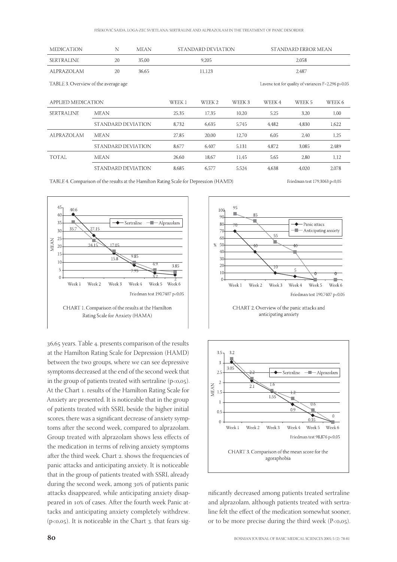| <b>MEDICATION</b>                | N                                    | <b>MEAN</b> | STANDARD DEVIATION |        |                            | STANDARD ERROR MEAN                                 |       |        |
|----------------------------------|--------------------------------------|-------------|--------------------|--------|----------------------------|-----------------------------------------------------|-------|--------|
| 20<br><b>SERTRALINE</b><br>35,00 |                                      | 9,205       |                    |        | 2,058                      |                                                     |       |        |
| <b>ALPRAZOLAM</b>                | 20                                   | 36,65       | 11.123             |        |                            | 2,487                                               |       |        |
|                                  | TABLE 3. Overview of the average age |             |                    |        |                            | Lavene test for quality of variances F=2,296 p>0,05 |       |        |
| <b>APPLIED MEDICATION</b>        |                                      |             | WEEK 1             | WEEK 2 | WEEK 3<br>WEEK 4<br>WEEK 5 |                                                     |       | WEEK 6 |
| <b>SERTRALINE</b>                | <b>MEAN</b>                          |             | 25,35              | 17,35  | 10,20                      | 5,25                                                | 3,20  | 1,00   |
|                                  | STANDARD DEVIATION                   |             | 8.732              | 6,635  | 5,745                      | 4,482                                               | 4,830 | 1,622  |
| <b>ALPRAZOLAM</b>                | <b>MEAN</b>                          |             | 27,85              | 20,00  | 12,70                      | 6.05                                                | 2.40  | 1,25   |
|                                  | STANDARD DEVIATION                   |             | 8,677              | 6.407  | 5.131                      | 4,872                                               | 3,085 | 2.489  |
| <b>TOTAL</b>                     | <b>MEAN</b>                          |             | 26,60              | 18,67  | 11,45                      | 5,65                                                | 2,80  | 1,12   |
|                                  | STANDARD DEVIATION                   |             | 8,685              | 6,577  | 5,524                      | 4,638                                               | 4,020 | 2,078  |

TABLE 4. Comparison of the results at the Hamilton Rating Scale for Depression (HAMD)

45  $40.6$  $40$ - Sertraline - Alprazolam  $\mathcal{R}^{\dagger}$  $\overline{3}$  $25$ **MEAN**  $\sigma$  $\overline{20}$  $16$  $15.8$  $\frac{1}{10}$ 3.85  $\theta$  $W_{\text{Pek}}$  $W_{\text{eek}}$ Week 1 Week 3 Week 4  $W_{\rho\rho}$ k 5 Friedman test 190,7407 p<0,05 CHART 1. Comparison of the results at the Hamilton Rating Scale for Anxiety (HAMA)

36,65 years. Table 4. presents comparison of the results at the Hamilton Rating Scale for Depression (HAMD) between the two groups, where we can see depressive symptoms decreased at the end of the second week that in the group of patients treated with sertraline  $(p<0.05)$ . At the Chart 1. results of the Hamilton Rating Scale for Anxiety are presented. It is noticeable that in the group of patients treated with SSRI, beside the higher initial scores, there was a significant decrease of anxiety symptoms after the second week, compared to alprazolam. Group treated with alprazolam shows less effects of the medication in terms of reliving anxiety symptoms after the third week. Chart 2. shows the frequencies of panic attacks and anticipating anxiety. It is noticeable that in the group of patients treated with SSRI, already during the second week, among 30% of patients panic attacks disappeared, while anticipating anxiety disappeared in 10% of cases. After the fourth week Panic attacks and anticipating anxiety completely withdrew. ( $p<0.05$ ). It is noticeable in the Chart 3. that fears sig-

95  $10<sub>1</sub>$ Ì.  $\overline{9}$  $\overline{8}$ - Panic attacs  $\overline{7}$ - Anticipating anxiety 55  $6<sup>1</sup>$  $\frac{9}{6}$  $5<sub>0</sub>$  $\overline{4}$  $\overline{3}$  $\overline{2}$  $\overline{1}$ Week 1 Week 2 Week 3 Week 4 Week 5 Week 6 Friedman test 190,7407 p<0,05 CHART 2. Overview of the panic attacks and anticipating anxiety

Friedman test 179,3063 p<0,05



nificantly decreased among patients treated sertraline and alprazolam, although patients treated with sertraline felt the effect of the medication somewhat sooner, or to be more precise during the third week  $(P<0.05)$ .